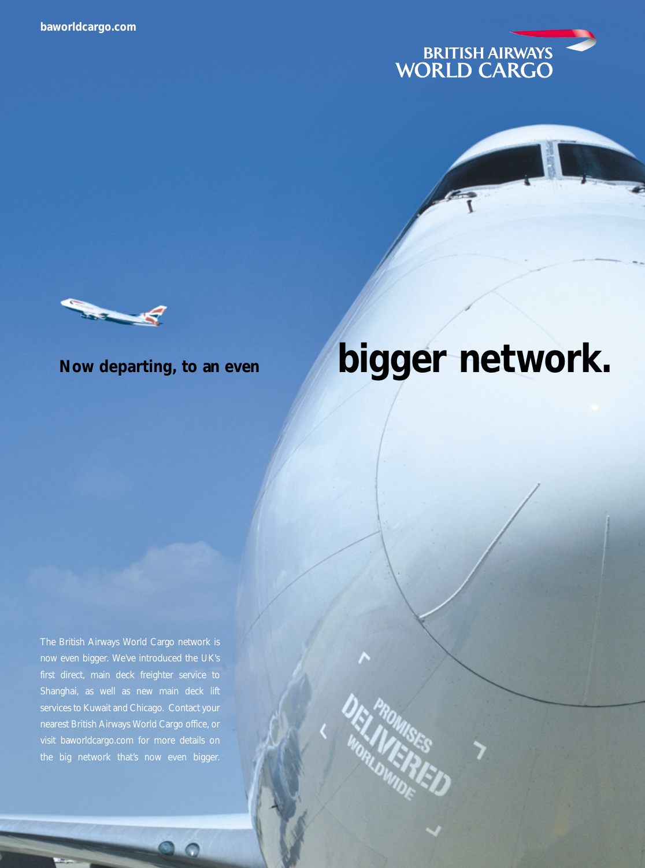





## Now departing, to an even **bigger network.**

The British Airways World Cargo network is now even bigger. We've introduced the UK's first direct, main deck freighter service to Shanghai, as well as new main deck lift services to Kuwait and Chicago. Contact your nearest British Airways World Cargo office, or visit baworldcargo.com for more details on the big network that's now even bigger.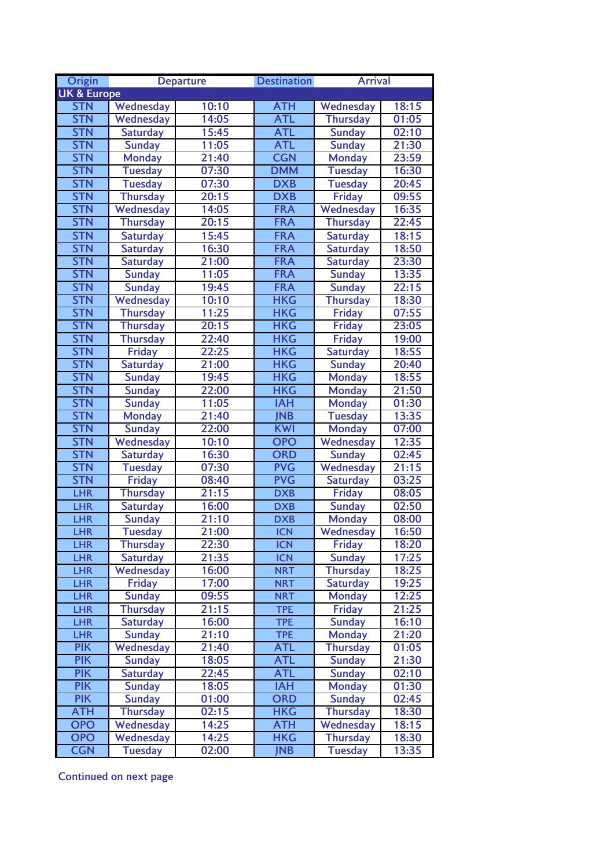| Origin                   | <b>Departure</b>             |                | <b>Destination</b>       | <b>Arrival</b>                   |                |  |  |
|--------------------------|------------------------------|----------------|--------------------------|----------------------------------|----------------|--|--|
|                          | <b>UK &amp; Europe</b>       |                |                          |                                  |                |  |  |
| <b>STN</b>               | Wednesday                    | 10:10          | <b>ATH</b>               | Wednesday                        | 18:15          |  |  |
| <b>STN</b>               | Wednesday                    | 14:05          | <b>ATL</b>               | Thursday                         | 01:05          |  |  |
| <b>STN</b>               | <b>Saturday</b>              | 15:45          | <b>ATL</b>               | <b>Sunday</b>                    | 02:10          |  |  |
| <b>STN</b>               | <b>Sunday</b>                | 11:05          | <b>ATL</b>               | <b>Sunday</b>                    | 21:30          |  |  |
| <b>STN</b>               | <b>Monday</b>                | 21:40          | <b>CGN</b>               | <b>Monday</b>                    | 23:59          |  |  |
| <b>STN</b>               | <b>Tuesday</b>               | 07:30          | <b>DMM</b>               | <b>Tuesday</b>                   | 16:30          |  |  |
| <b>STN</b>               | <b>Tuesday</b>               | 07:30          | <b>DXB</b>               | <b>Tuesday</b>                   | 20:45          |  |  |
| <b>STN</b>               | Thursday                     | 20:15          | <b>DXB</b>               | <b>Friday</b>                    | 09:55          |  |  |
| <b>STN</b>               | Wednesday                    | 14:05          | <b>FRA</b>               | Wednesday                        | 16:35          |  |  |
| <b>STN</b>               | <b>Thursday</b>              | 20:15          | <b>FRA</b>               | <b>Thursday</b>                  | 22:45          |  |  |
| <b>STN</b>               | <b>Saturday</b>              | 15:45          | <b>FRA</b>               | <b>Saturday</b>                  | 18:15          |  |  |
| <b>STN</b>               | <b>Saturday</b>              | 16:30          | <b>FRA</b>               | <b>Saturday</b>                  | 18:50          |  |  |
| <b>STN</b>               | <b>Saturday</b>              | 21:00          | <b>FRA</b>               | <b>Saturday</b>                  | 23:30          |  |  |
| <b>STN</b>               | <b>Sunday</b>                | 11:05          | <b>FRA</b>               | <b>Sunday</b>                    | 13:35          |  |  |
| <b>STN</b>               | <b>Sunday</b>                | 19:45          | <b>FRA</b>               | <b>Sunday</b>                    | 22:15          |  |  |
| <b>STN</b>               | Wednesday                    | 10:10          | <b>HKG</b>               | Thursday                         | 18:30          |  |  |
| <b>STN</b>               | Thursday                     | 11:25          | <b>HKG</b>               | Friday                           | 07:55          |  |  |
| <b>STN</b>               | <b>Thursday</b>              | 20:15          | <b>HKG</b>               | Friday                           | 23:05          |  |  |
| <b>STN</b>               | <b>Thursday</b>              | 22:40          | <b>HKG</b>               | <b>Friday</b>                    | 19:00          |  |  |
| <b>STN</b>               | <b>Friday</b>                | 22:25          | <b>HKG</b>               | <b>Saturday</b>                  | 18:55          |  |  |
| <b>STN</b>               | <b>Saturday</b>              | 21:00          | <b>HKG</b>               | <b>Sunday</b>                    | 20:40          |  |  |
| <b>STN</b>               | <b>Sunday</b>                | 19:45          | <b>HKG</b>               | <b>Monday</b>                    | 18:55          |  |  |
| <b>STN</b>               | <b>Sunday</b>                | 22:00          | <b>HKG</b>               | <b>Monday</b>                    | 21:50          |  |  |
| <b>STN</b>               | <b>Sunday</b>                | 11:05          | <b>IAH</b>               | <b>Monday</b>                    | 01:30          |  |  |
| <b>STN</b>               | <b>Monday</b>                | 21:40          | <b>JNB</b>               | <b>Tuesday</b>                   | 13:35          |  |  |
| <b>STN</b>               | Sunday                       | 22:00          | <b>KWI</b>               | <b>Monday</b>                    | 07:00          |  |  |
| <b>STN</b>               | Wednesday                    | 10:10          | <b>OPO</b>               | Wednesday                        | 12:35          |  |  |
| <b>STN</b>               | <b>Saturday</b>              | 16:30          | <b>ORD</b>               | <b>Sunday</b>                    | 02:45          |  |  |
| <b>STN</b>               | <b>Tuesday</b>               | 07:30          | <b>PVG</b>               | Wednesday                        | 21:15          |  |  |
| <b>STN</b>               | <b>Friday</b>                | 08:40          | <b>PVG</b>               | Saturday                         | 03:25          |  |  |
| <b>LHR</b>               | <b>Thursday</b>              | 21:15          | <b>DXB</b>               | <b>Friday</b>                    | 08:05          |  |  |
| <b>LHR</b>               | <b>Saturday</b>              | 16:00          | <b>DXB</b>               | <b>Sunday</b>                    | 02:50          |  |  |
| <b>LHR</b>               | <b>Sunday</b>                | 21:10          | <b>DXB</b>               | <b>Monday</b>                    | 08:00          |  |  |
| <b>LHR</b>               | <b>Tuesday</b>               | 21:00          | <b>ICN</b>               | Wednesday                        | 16:50          |  |  |
| <b>LHR</b>               | <b>Thursday</b>              | 22:30          | <b>ICN</b>               | <b>Friday</b>                    | 18:20          |  |  |
| <b>LHR</b>               | <b>Saturday</b>              | 21:35          | <b>ICN</b>               | <b>Sunday</b>                    | 17:25          |  |  |
| <b>LHR</b>               | Wednesday                    | 16:00          | <b>NRT</b>               | Thursday                         | 18:25          |  |  |
| <b>LHR</b>               | Friday                       | 17:00          | <b>NRT</b>               | <b>Saturday</b>                  | 19:25          |  |  |
| <b>LHR</b>               | <b>Sunday</b>                | 09:55          | <b>NRT</b>               | <b>Monday</b>                    | 12:25          |  |  |
| <b>LHR</b>               | <b>Thursday</b>              | 21:15          | <b>TPE</b>               | <b>Friday</b>                    | 21:25          |  |  |
| <b>LHR</b>               | <b>Saturday</b>              | 16:00          | <b>TPE</b>               | <b>Sunday</b>                    | 16:10          |  |  |
| <b>LHR</b>               | <b>Sunday</b>                | 21:10          | <b>TPE</b>               | <b>Monday</b>                    | 21:20          |  |  |
| <b>PIK</b>               | Wednesday                    | 21:40          | <b>ATL</b><br><b>ATL</b> | <b>Thursday</b>                  | 01:05          |  |  |
| <b>PIK</b>               | <b>Sunday</b>                | 18:05<br>22:45 |                          | <b>Sunday</b>                    | 21:30          |  |  |
| <b>PIK</b><br><b>PIK</b> | <b>Saturday</b>              |                | <b>ATL</b><br><b>IAH</b> | <b>Sunday</b>                    | 02:10          |  |  |
| <b>PIK</b>               | <b>Sunday</b>                | 18:05          | <b>ORD</b>               | <b>Monday</b>                    | 01:30          |  |  |
| <b>ATH</b>               | <b>Sunday</b>                | 01:00<br>02:15 | <b>HKG</b>               | <b>Sunday</b><br><b>Thursday</b> | 02:45<br>18:30 |  |  |
| <b>OPO</b>               | <b>Thursday</b><br>Wednesday | 14:25          | <b>ATH</b>               | Wednesday                        | 18:15          |  |  |
| <b>OPO</b>               | Wednesday                    | 14:25          | <b>HKG</b>               | <b>Thursday</b>                  | 18:30          |  |  |
| <b>CGN</b>               | <b>Tuesday</b>               | 02:00          | <b>JNB</b>               | <b>Tuesday</b>                   | 13:35          |  |  |
|                          |                              |                |                          |                                  |                |  |  |

**Continued on next page**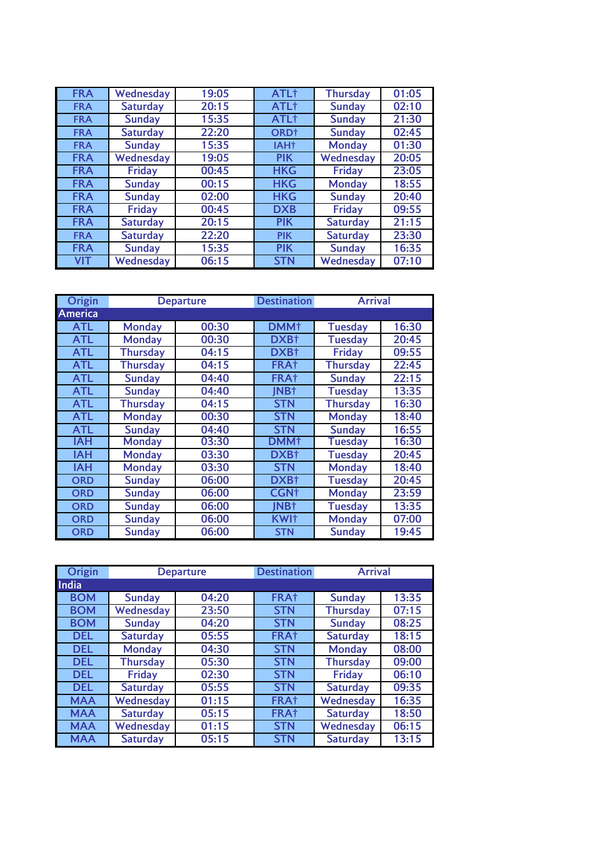| <b>FRA</b> | Wednesday       | 19:05 | ATL <sub>†</sub> | <b>Thursday</b> | 01:05 |
|------------|-----------------|-------|------------------|-----------------|-------|
| <b>FRA</b> | <b>Saturday</b> | 20:15 | ATL <sub>†</sub> | <b>Sunday</b>   | 02:10 |
| <b>FRA</b> | <b>Sunday</b>   | 15:35 | ATL <sup>†</sup> | <b>Sunday</b>   | 21:30 |
| <b>FRA</b> | <b>Saturday</b> | 22:20 | ORD <sup>†</sup> | <b>Sunday</b>   | 02:45 |
| <b>FRA</b> | <b>Sunday</b>   | 15:35 | IAH <sup>†</sup> | <b>Monday</b>   | 01:30 |
| <b>FRA</b> | Wednesday       | 19:05 | <b>PIK</b>       | Wednesday       | 20:05 |
| <b>FRA</b> | <b>Friday</b>   | 00:45 | <b>HKG</b>       | <b>Friday</b>   | 23:05 |
| <b>FRA</b> | <b>Sunday</b>   | 00:15 | <b>HKG</b>       | <b>Monday</b>   | 18:55 |
| <b>FRA</b> | <b>Sunday</b>   | 02:00 | <b>HKG</b>       | <b>Sunday</b>   | 20:40 |
| <b>FRA</b> | <b>Friday</b>   | 00:45 | <b>DXB</b>       | <b>Friday</b>   | 09:55 |
| <b>FRA</b> | <b>Saturday</b> | 20:15 | <b>PIK</b>       | <b>Saturday</b> | 21:15 |
| <b>FRA</b> | <b>Saturday</b> | 22:20 | <b>PIK</b>       | <b>Saturday</b> | 23:30 |
| <b>FRA</b> | <b>Sunday</b>   | 15:35 | <b>PIK</b>       | <b>Sunday</b>   | 16:35 |
| VIT        | Wednesday       | 06:15 | <b>STN</b>       | Wednesday       | 07:10 |

| <b>Origin</b>  |                 | <b>Departure</b> | <b>Destination</b>      | <b>Arrival</b>  |       |
|----------------|-----------------|------------------|-------------------------|-----------------|-------|
| <b>America</b> |                 |                  |                         |                 |       |
| <b>ATL</b>     | <b>Monday</b>   | 00:30            | <b>DMM</b> <sup>†</sup> | <b>Tuesday</b>  | 16:30 |
| <b>ATL</b>     | <b>Monday</b>   | 00:30            | DXB <sup>+</sup>        | <b>Tuesday</b>  | 20:45 |
| <b>ATL</b>     | <b>Thursday</b> | 04:15            | DXB <sup>t</sup>        | <b>Friday</b>   | 09:55 |
| <b>ATL</b>     | <b>Thursday</b> | 04:15            | FRA <sup>†</sup>        | Thursday        | 22:45 |
| <b>ATL</b>     | <b>Sunday</b>   | 04:40            | FRA <sup>t</sup>        | <b>Sunday</b>   | 22:15 |
| <b>ATL</b>     | <b>Sunday</b>   | 04:40            | JNB <sup>+</sup>        | <b>Tuesday</b>  | 13:35 |
| <b>ATL</b>     | <b>Thursday</b> | 04:15            | <b>STN</b>              | <b>Thursday</b> | 16:30 |
| <b>ATL</b>     | <b>Monday</b>   | 00:30            | <b>STN</b>              | <b>Monday</b>   | 18:40 |
| <b>ATL</b>     | <b>Sunday</b>   | 04:40            | <b>STN</b>              | <b>Sunday</b>   | 16:55 |
| <b>IAH</b>     | <b>Monday</b>   | 03:30            | <b>DMM</b>              | <b>Tuesday</b>  | 16:30 |
| <b>IAH</b>     | <b>Monday</b>   | 03:30            | DXB <sup>+</sup>        | <b>Tuesday</b>  | 20:45 |
| <b>IAH</b>     | <b>Monday</b>   | 03:30            | <b>STN</b>              | <b>Monday</b>   | 18:40 |
| <b>ORD</b>     | <b>Sunday</b>   | 06:00            | DXB <sup>+</sup>        | <b>Tuesday</b>  | 20:45 |
| <b>ORD</b>     | <b>Sunday</b>   | 06:00            | <b>CGNt</b>             | <b>Monday</b>   | 23:59 |
| <b>ORD</b>     | <b>Sunday</b>   | 06:00            | JNB <sup>+</sup>        | <b>Tuesday</b>  | 13:35 |
| <b>ORD</b>     | Sunday          | 06:00            | KWI†                    | <b>Monday</b>   | 07:00 |
| <b>ORD</b>     | Sunday          | 06:00            | <b>STN</b>              | <b>Sunday</b>   | 19:45 |

| <b>Origin</b> | <b>Departure</b> |       | <b>Destination</b> | <b>Arrival</b>  |       |  |  |  |
|---------------|------------------|-------|--------------------|-----------------|-------|--|--|--|
| India         |                  |       |                    |                 |       |  |  |  |
| <b>BOM</b>    | <b>Sunday</b>    | 04:20 | FRA <sup>†</sup>   | <b>Sunday</b>   | 13:35 |  |  |  |
| <b>BOM</b>    | Wednesday        | 23:50 | <b>STN</b>         | <b>Thursday</b> | 07:15 |  |  |  |
| <b>BOM</b>    | <b>Sunday</b>    | 04:20 | <b>STN</b>         | <b>Sunday</b>   | 08:25 |  |  |  |
| <b>DEL</b>    | <b>Saturday</b>  | 05:55 | FRA <sup>†</sup>   | <b>Saturday</b> | 18:15 |  |  |  |
| <b>DEL</b>    | <b>Monday</b>    | 04:30 | <b>STN</b>         | <b>Monday</b>   | 08:00 |  |  |  |
| <b>DEL</b>    | <b>Thursday</b>  | 05:30 | <b>STN</b>         | <b>Thursday</b> | 09:00 |  |  |  |
| <b>DEL</b>    | <b>Friday</b>    | 02:30 | <b>STN</b>         | <b>Friday</b>   | 06:10 |  |  |  |
| <b>DEL</b>    | <b>Saturday</b>  | 05:55 | <b>STN</b>         | <b>Saturday</b> | 09:35 |  |  |  |
| <b>MAA</b>    | Wednesday        | 01:15 | FRA <sup>†</sup>   | Wednesday       | 16:35 |  |  |  |
| <b>MAA</b>    | <b>Saturday</b>  | 05:15 | FRA <sup>†</sup>   | <b>Saturday</b> | 18:50 |  |  |  |
| <b>MAA</b>    | Wednesday        | 01:15 | <b>STN</b>         | Wednesday       | 06:15 |  |  |  |
| <b>MAA</b>    | <b>Saturday</b>  | 05:15 | <b>STN</b>         | <b>Saturday</b> | 13:15 |  |  |  |